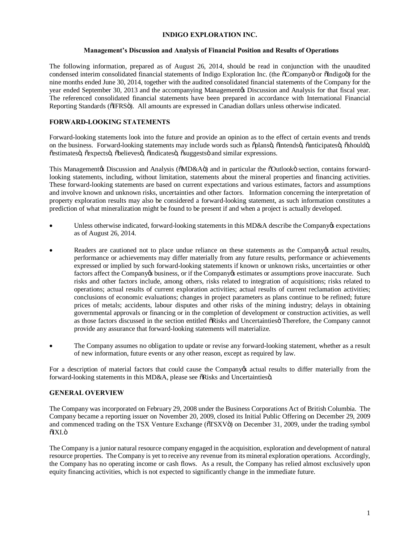## **INDIGO EXPLORATION INC.**

## **Management's Discussion and Analysis of Financial Position and Results of Operations**

The following information, prepared as of August 26, 2014, should be read in conjunction with the unaudited condensed interim consolidated financial statements of Indigo Exploration Inc. (the  $\tilde{\text{o}}$ Companyo or  $\tilde{\text{o}}$ Indigoo) for the nine months ended June 30, 2014, together with the audited consolidated financial statements of the Company for the year ended September 30, 2013 and the accompanying Management is Discussion and Analysis for that fiscal year. The referenced consolidated financial statements have been prepared in accordance with International Financial Reporting Standards ( $\delta$ IFRS $\ddot{o}$ ). All amounts are expressed in Canadian dollars unless otherwise indicated.

# **FORWARD-LOOKING STATEMENTS**

Forward-looking statements look into the future and provide an opinion as to the effect of certain events and trends on the business. Forward-looking statements may include words such as õplansö, õintendsö, õanticipatesö, õshouldö,  $\tilde{\text{c}}$ estimatesö,  $\tilde{\text{c}}$ expectsö,  $\tilde{\text{c}}$ believesö,  $\tilde{\text{c}}$ indicatesö,  $\tilde{\text{c}}$ suggestsö and similar expressions.

This Managementøs Discussion and Analysis ( $\delta MD\&A\ddot{o}$ ) and in particular the  $\delta$ Outlookö section, contains forwardlooking statements, including, without limitation, statements about the mineral properties and financing activities. These forward-looking statements are based on current expectations and various estimates, factors and assumptions and involve known and unknown risks, uncertainties and other factors. Information concerning the interpretation of property exploration results may also be considered a forward-looking statement, as such information constitutes a prediction of what mineralization might be found to be present if and when a project is actually developed.

- Unless otherwise indicated, forward-looking statements in this MD&A describe the Company os expectations as of August 26, 2014.
- Readers are cautioned not to place undue reliance on these statements as the Company os actual results, performance or achievements may differ materially from any future results, performance or achievements expressed or implied by such forward-looking statements if known or unknown risks, uncertainties or other factors affect the Company ts business, or if the Company ts estimates or assumptions prove inaccurate. Such risks and other factors include, among others, risks related to integration of acquisitions; risks related to operations; actual results of current exploration activities; actual results of current reclamation activities; conclusions of economic evaluations; changes in project parameters as plans continue to be refined; future prices of metals; accidents, labour disputes and other risks of the mining industry; delays in obtaining governmental approvals or financing or in the completion of development or construction activities, as well as those factors discussed in the section entitled  $\delta$ Risks and Uncertainties Therefore, the Company cannot provide any assurance that forward-looking statements will materialize.
- · The Company assumes no obligation to update or revise any forward-looking statement, whether as a result of new information, future events or any other reason, except as required by law.

For a description of material factors that could cause the Company os actual results to differ materially from the forward-looking statements in this MD&A, please see  $\delta$ Risks and Uncertainties $\ddot{o}$ .

# **GENERAL OVERVIEW**

The Company was incorporated on February 29, 2008 under the Business Corporations Act of British Columbia. The Company became a reporting issuer on November 20, 2009, closed its Initial Public Offering on December 29, 2009 and commenced trading on the TSX Venture Exchange ( $\delta$ TSXV $\ddot{o}$ ) on December 31, 2009, under the trading symbol  $\delta$ IXI.ö

The Company is a junior natural resource company engaged in the acquisition, exploration and development of natural resource properties. The Company is yet to receive any revenue from its mineral exploration operations. Accordingly, the Company has no operating income or cash flows. As a result, the Company has relied almost exclusively upon equity financing activities, which is not expected to significantly change in the immediate future.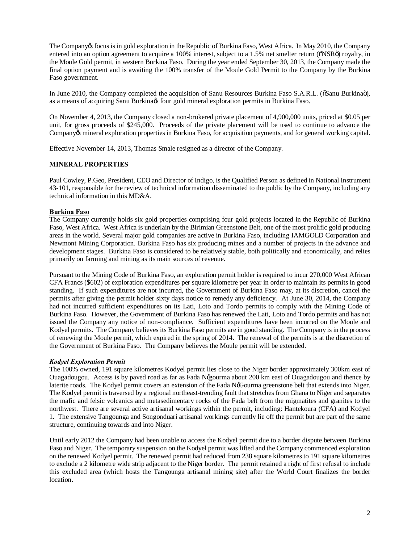The Company is focus is in gold exploration in the Republic of Burkina Faso, West Africa. In May 2010, the Company entered into an option agreement to acquire a  $100\%$  interest, subject to a 1.5% net smelter return ( $\delta$ NSR $\ddot{o}$ ) royalty, in the Moule Gold permit, in western Burkina Faso. During the year ended September 30, 2013, the Company made the final option payment and is awaiting the 100% transfer of the Moule Gold Permit to the Company by the Burkina Faso government.

In June 2010, the Company completed the acquisition of Sanu Resources Burkina Faso S.A.R.L. ( $\delta$ Sanu Burkina $\ddot{o}$ ), as a means of acquiring Sanu Burkina $\alpha$  four gold mineral exploration permits in Burkina Faso.

On November 4, 2013, the Company closed a non-brokered private placement of 4,900,000 units, priced at \$0.05 per unit, for gross proceeds of \$245,000. Proceeds of the private placement will be used to continue to advance the Company os mineral exploration properties in Burkina Faso, for acquisition payments, and for general working capital.

Effective November 14, 2013, Thomas Smale resigned as a director of the Company.

# **MINERAL PROPERTIES**

Paul Cowley, P.Geo, President, CEO and Director of Indigo, is the Qualified Person as defined in National Instrument 43-101, responsible for the review of technical information disseminated to the public by the Company, including any technical information in this MD&A.

# **Burkina Faso**

The Company currently holds six gold properties comprising four gold projects located in the Republic of Burkina Faso, West Africa. West Africa is underlain by the Birimian Greenstone Belt, one of the most prolific gold producing areas in the world. Several major gold companies are active in Burkina Faso, including IAMGOLD Corporation and Newmont Mining Corporation. Burkina Faso has six producing mines and a number of projects in the advance and development stages. Burkina Faso is considered to be relatively stable, both politically and economically, and relies primarily on farming and mining as its main sources of revenue.

Pursuant to the Mining Code of Burkina Faso, an exploration permit holder is required to incur 270,000 West African CFA Francs (\$602) of exploration expenditures per square kilometre per year in order to maintain its permits in good standing. If such expenditures are not incurred, the Government of Burkina Faso may, at its discretion, cancel the permits after giving the permit holder sixty days notice to remedy any deficiency. At June 30, 2014, the Company had not incurred sufficient expenditures on its Lati, Loto and Tordo permits to comply with the Mining Code of Burkina Faso. However, the Government of Burkina Faso has renewed the Lati, Loto and Tordo permits and has not issued the Company any notice of non-compliance. Sufficient expenditures have been incurred on the Moule and Kodyel permits. The Company believes its Burkina Faso permits are in good standing. The Company is in the process of renewing the Moule permit, which expired in the spring of 2014. The renewal of the permits is at the discretion of the Government of Burkina Faso. The Company believes the Moule permit will be extended.

#### *Kodyel Exploration Permit*

The 100% owned, 191 square kilometres Kodyel permit lies close to the Niger border approximately 300km east of Ouagadougou. Access is by paved road as far as Fada Nggourma about 200 km east of Ouagadougou and thence by laterite roads. The Kodyel permit covers an extension of the Fada NgGourma greenstone belt that extends into Niger. The Kodyel permit is traversed by a regional northeast-trending fault that stretches from Ghana to Niger and separates the mafic and felsic volcanics and metasedimentary rocks of the Fada belt from the migmatites and granites to the northwest. There are several active artisanal workings within the permit, including: Hantekoura (CFA) and Kodyel 1. The extensive Tangounga and Songonduari artisanal workings currently lie off the permit but are part of the same structure, continuing towards and into Niger.

Until early 2012 the Company had been unable to access the Kodyel permit due to a border dispute between Burkina Faso and Niger. The temporary suspension on the Kodyel permit was lifted and the Company commenced exploration on the renewed Kodyel permit. The renewed permit had reduced from 238 square kilometres to 191 square kilometres to exclude a 2 kilometre wide strip adjacent to the Niger border. The permit retained a right of first refusal to include this excluded area (which hosts the Tangounga artisanal mining site) after the World Court finalizes the border location.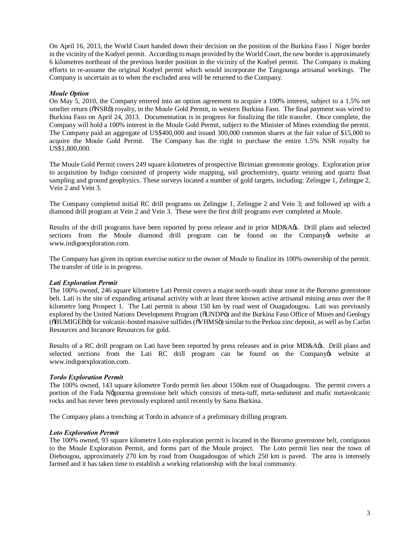On April 16, 2013, the World Court handed down their decision on the position of the Burkina Faso 6 Niger border in the vicinity of the Kodyel permit. According to maps provided by the World Court, the new border is approximately 6 kilometres northeast of the previous border position in the vicinity of the Kodyel permit. The Company is making efforts to re-assume the original Kodyel permit which would incorporate the Tangounga artisanal workings. The Company is uncertain as to when the excluded area will be returned to the Company.

# *Moule Option*

On May 5, 2010, the Company entered into an option agreement to acquire a 100% interest, subject to a 1.5% net smelter return ( $\delta$ NSR $\ddot{o}$ ) royalty, in the Moule Gold Permit, in western Burkina Faso. The final payment was wired to Burkina Faso on April 24, 2013. Documentation is in progress for finalizing the title transfer. Once complete, the Company will hold a 100% interest in the Moule Gold Permit, subject to the Minister of Mines extending the permit. The Company paid an aggregate of US\$400,000 and issued 300,000 common shares at the fair value of \$15,000 to acquire the Moule Gold Permit. The Company has the right to purchase the entire 1.5% NSR royalty for US\$1,800,000.

The Moule Gold Permit covers 249 square kilometres of prospective Birimian greenstone geology. Exploration prior to acquisition by Indigo consisted of property wide mapping, soil geochemistry, quartz veining and quartz float sampling and ground geophysics. These surveys located a number of gold targets, including: Zelingpe 1, Zelingpe 2, Vein 2 and Vein 3.

The Company completed initial RC drill programs on Zelingpe 1, Zelingpe 2 and Vein 3; and followed up with a diamond drill program at Vein 2 and Vein 3. These were the first drill programs ever completed at Moule.

Results of the drill programs have been reported by press release and in prior MD&A $\alpha$ s. Drill plans and selected sections from the Moule diamond drill program can be found on the Company twebsite at www.indigoexploration.com.

The Company has given its option exercise notice to the owner of Moule to finalize its 100% ownership of the permit. The transfer of title is in progress.

# *Lati Exploration Permit*

The 100% owned, 246 square kilometre Lati Permit covers a major north-south shear zone in the Boromo greenstone belt. Lati is the site of expanding artisanal activity with at least three known active artisanal mining areas over the 8 kilometre long Prospect 1. The Lati permit is about 150 km by road west of Ouagadougou. Lati was previously explored by the United Nations Development Program ( $\delta$ UNDP $\ddot{\text{o}}$ ) and the Burkina Faso Office of Mines and Geology ( $\delta$ BUMIGEB $\ddot{o}$ ) for volcanic-hosted massive sulfides ( $\delta$ VHMS $\ddot{o}$ ) similar to the Perkoa zinc deposit, as well as by Carlin Resources and Incanore Resources for gold.

Results of a RC drill program on Lati have been reported by press releases and in prior MD&A&. Drill plans and selected sections from the Lati RC drill program can be found on the Company twebsite at www.indigoexploration.com.

# *Tordo Exploration Permit*

The 100% owned, 143 square kilometre Tordo permit lies about 150km east of Ouagadougou. The permit covers a portion of the Fada N'gourma greenstone belt which consists of meta-tuff, meta-sediment and mafic metavolcanic rocks and has never been previously explored until recently by Sanu Burkina.

The Company plans a trenching at Tordo in advance of a preliminary drilling program.

## *Loto Exploration Permit*

The 100% owned, 93 square kilometre Loto exploration permit is located in the Boromo greenstone belt, contiguous to the Moule Exploration Permit, and forms part of the Moule project. The Loto permit lies near the town of Diebougou, approximately 270 km by road from Ouagadougou of which 250 km is paved. The area is intensely farmed and it has taken time to establish a working relationship with the local community.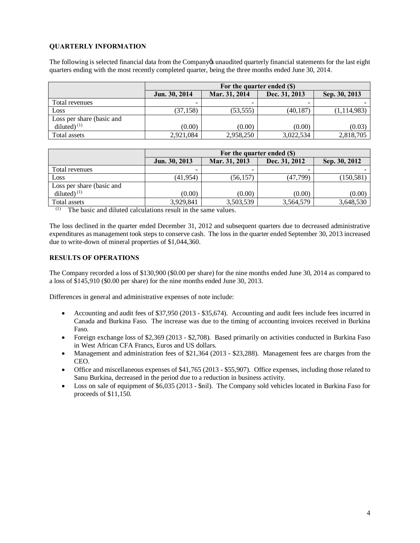# **QUARTERLY INFORMATION**

The following is selected financial data from the Company osuperly financial statements for the last eight quarters ending with the most recently completed quarter, being the three months ended June 30, 2014.

|                           | For the quarter ended (\$) |               |               |               |
|---------------------------|----------------------------|---------------|---------------|---------------|
|                           | Jun. 30, 2014              | Mar. 31, 2014 | Dec. 31, 2013 | Sep. 30, 2013 |
| Total revenues            | -                          |               | -             |               |
| Loss                      | (37, 158)                  | (53, 555)     | (40, 187)     | (1, 114, 983) |
| Loss per share (basic and |                            |               |               |               |
| diluted) $(1)$            | (0.00)                     | (0.00)        | (0.00)        | (0.03)        |
| Total assets              | 2,921,084                  | 2,958,250     | 3,022,534     | 2,818,705     |

|                           | For the quarter ended (\$) |               |               |               |
|---------------------------|----------------------------|---------------|---------------|---------------|
|                           | Jun. 30, 2013              | Mar. 31, 2013 | Dec. 31, 2012 | Sep. 30, 2012 |
| Total revenues            |                            |               | -             |               |
| Loss                      | (41, 954)                  | (56, 157)     | (47, 799)     | (150,581)     |
| Loss per share (basic and |                            |               |               |               |
| diluted) $(1)$            | (0.00)                     | (0.00)        | (0.00)        | (0.00)        |
| Total assets              | 3,929,841                  | 3,503,539     | 3,564,579     | 3,648,530     |

(1) The basic and diluted calculations result in the same values.

The loss declined in the quarter ended December 31, 2012 and subsequent quarters due to decreased administrative expenditures as management took steps to conserve cash. The loss in the quarter ended September 30, 2013 increased due to write-down of mineral properties of \$1,044,360.

# **RESULTS OF OPERATIONS**

The Company recorded a loss of \$130,900 (\$0.00 per share) for the nine months ended June 30, 2014 as compared to a loss of \$145,910 (\$0.00 per share) for the nine months ended June 30, 2013.

Differences in general and administrative expenses of note include:

- · Accounting and audit fees of \$37,950 (2013 \$35,674). Accounting and audit fees include fees incurred in Canada and Burkina Faso. The increase was due to the timing of accounting invoices received in Burkina Faso.
- Foreign exchange loss of \$2,369 (2013 \$2,708). Based primarily on activities conducted in Burkina Faso in West African CFA Francs, Euros and US dollars.
- Management and administration fees of \$21,364 (2013 \$23,288). Management fees are charges from the CEO.
- · Office and miscellaneous expenses of \$41,765 (2013 \$55,907). Office expenses, including those related to Sanu Burkina, decreased in the period due to a reduction in business activity.
- Loss on sale of equipment of \$6,035 (2013 \$nil). The Company sold vehicles located in Burkina Faso for proceeds of \$11,150.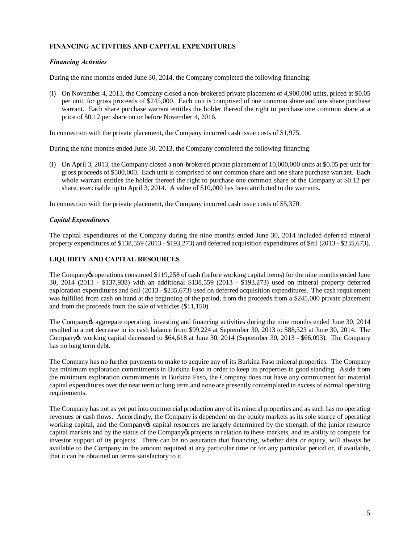# **FINANCING ACTIVITIES AND CAPITAL EXPENDITURES**

## *Financing Activities*

During the nine months ended June 30, 2014, the Company completed the following financing:

(i) On November 4, 2013, the Company closed a non-brokered private placement of 4,900,000 units, priced at \$0.05 per unit, for gross proceeds of \$245,000. Each unit is comprised of one common share and one share purchase warrant. Each share purchase warrant entitles the holder thereof the right to purchase one common share at a price of \$0.12 per share on or before November 4, 2016.

In connection with the private placement, the Company incurred cash issue costs of \$1,975.

During the nine months ended June 30, 2013, the Company completed the following financing:

(i) On April 3, 2013, the Company closed a non-brokered private placement of 10,000,000 units at \$0.05 per unit for gross proceeds of \$500,000. Each unit is comprised of one common share and one share purchase warrant. Each whole warrant entitles the holder thereof the right to purchase one common share of the Company at \$0.12 per share, exercisable up to April 3, 2014. A value of \$10,000 has been attributed to the warrants.

In connection with the private placement, the Company incurred cash issue costs of \$5,370.

#### *Capital Expenditures*

The capital expenditures of the Company during the nine months ended June 30, 2014 included deferred mineral property expenditures of \$138,559 (2013 - \$193,273) and deferred acquisition expenditures of \$nil (2013 - \$235,673).

## **LIQUIDITY AND CAPITAL RESOURCES**

The Company is operations consumed \$119,258 of cash (before working capital items) for the nine months ended June 30, 2014 (2013 - \$137,938) with an additional \$138,559 (2013 - \$193,273) used on mineral property deferred exploration expenditures and \$nil (2013 - \$235,673) used on deferred acquisition expenditures. The cash requirement was fulfilled from cash on hand at the beginning of the period, from the proceeds from a \$245,000 private placement and from the proceeds from the sale of vehicles (\$11,150).

The Company is aggregate operating, investing and financing activities during the nine months ended June 30, 2014 resulted in a net decrease in its cash balance from \$99,224 at September 30, 2013 to \$88,523 at June 30, 2014. The Company's working capital decreased to \$64,618 at June 30, 2014 (September 30, 2013 - \$66,093). The Company has no long term debt.

The Company has no further payments to make to acquire any of its Burkina Faso mineral properties. The Company has minimum exploration commitments in Burkina Faso in order to keep its properties in good standing. Aside from the minimum exploration commitments in Burkina Faso, the Company does not have any commitment for material capital expenditures over the near term or long term and none are presently contemplated in excess of normal operating requirements.

The Company has not as yet put into commercial production any of its mineral properties and as such has no operating revenues or cash flows. Accordingly, the Company is dependent on the equity markets as its sole source of operating working capital, and the Company's capital resources are largely determined by the strength of the junior resource capital markets and by the status of the Company's projects in relation to these markets, and its ability to compete for investor support of its projects. There can be no assurance that financing, whether debt or equity, will always be available to the Company in the amount required at any particular time or for any particular period or, if available, that it can be obtained on terms satisfactory to it.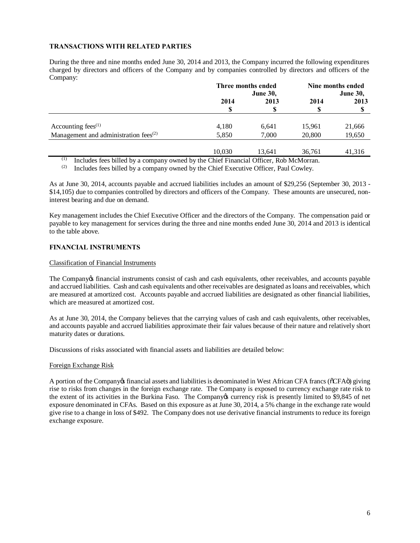# **TRANSACTIONS WITH RELATED PARTIES**

During the three and nine months ended June 30, 2014 and 2013, the Company incurred the following expenditures charged by directors and officers of the Company and by companies controlled by directors and officers of the Company:

|                                          | Three months ended<br><b>June 30,</b> |        | Nine months ended<br><b>June 30,</b> |        |
|------------------------------------------|---------------------------------------|--------|--------------------------------------|--------|
|                                          |                                       |        |                                      |        |
|                                          | 2014                                  | 2013   | 2014                                 | 2013   |
|                                          | \$                                    | S      | S                                    | D      |
| Accounting fees $(1)$                    | 4,180                                 | 6,641  | 15,961                               | 21,666 |
| Management and administration fees $(2)$ | 5,850                                 | 7,000  | 20,800                               | 19,650 |
|                                          | 10.030                                | 13,641 | 36,761                               | 41,316 |

(1) Includes fees billed by a company owned by the Chief Financial Officer, Rob McMorran.<br>(2) Includes fees billed by a company owned by the Chief Executive Officer, Paul Cowley

Includes fees billed by a company owned by the Chief Executive Officer, Paul Cowley.

As at June 30, 2014, accounts payable and accrued liabilities includes an amount of \$29,256 (September 30, 2013 - \$14,105) due to companies controlled by directors and officers of the Company. These amounts are unsecured, noninterest bearing and due on demand.

Key management includes the Chief Executive Officer and the directors of the Company. The compensation paid or payable to key management for services during the three and nine months ended June 30, 2014 and 2013 is identical to the table above.

## **FINANCIAL INSTRUMENTS**

#### Classification of Financial Instruments

The Company of financial instruments consist of cash and cash equivalents, other receivables, and accounts payable and accrued liabilities. Cash and cash equivalents and other receivables are designated as loans and receivables, which are measured at amortized cost. Accounts payable and accrued liabilities are designated as other financial liabilities, which are measured at amortized cost.

As at June 30, 2014, the Company believes that the carrying values of cash and cash equivalents, other receivables, and accounts payable and accrued liabilities approximate their fair values because of their nature and relatively short maturity dates or durations.

Discussions of risks associated with financial assets and liabilities are detailed below:

## Foreign Exchange Risk

A portion of the Company of financial assets and liabilities is denominated in West African CFA francs ( $\tilde{C}$ CFA $\tilde{C}$ ) giving rise to risks from changes in the foreign exchange rate. The Company is exposed to currency exchange rate risk to the extent of its activities in the Burkina Faso. The Company's currency risk is presently limited to \$9,845 of net exposure denominated in CFAs. Based on this exposure as at June 30, 2014, a 5% change in the exchange rate would give rise to a change in loss of \$492. The Company does not use derivative financial instruments to reduce its foreign exchange exposure.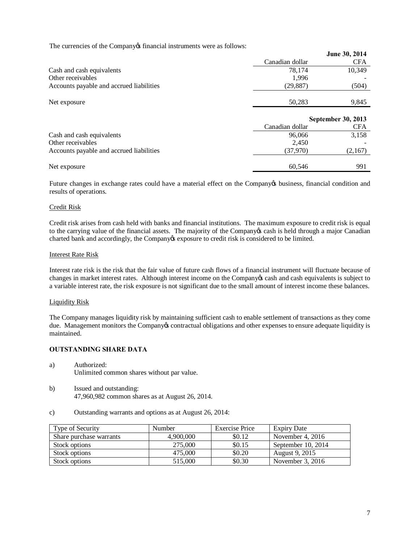The currencies of the Company of financial instruments were as follows:

|                                          |                 | June 30, 2014             |  |
|------------------------------------------|-----------------|---------------------------|--|
|                                          | Canadian dollar | <b>CFA</b>                |  |
| Cash and cash equivalents                | 78.174          | 10,349                    |  |
| Other receivables                        | 1,996           |                           |  |
| Accounts payable and accrued liabilities | (29, 887)       | (504)                     |  |
| Net exposure                             | 50,283          | 9,845                     |  |
|                                          |                 | <b>September 30, 2013</b> |  |
|                                          | Canadian dollar | <b>CFA</b>                |  |
| Cash and cash equivalents                | 96,066          | 3,158                     |  |
| Other receivables                        | 2,450           |                           |  |
| Accounts payable and accrued liabilities | (37,970)        | (2,167)                   |  |
| Net exposure                             | 60.546          | 991                       |  |

Future changes in exchange rates could have a material effect on the Company obusiness, financial condition and results of operations.

## Credit Risk

Credit risk arises from cash held with banks and financial institutions. The maximum exposure to credit risk is equal to the carrying value of the financial assets. The majority of the Company's cash is held through a major Canadian charted bank and accordingly, the Company's exposure to credit risk is considered to be limited.

#### Interest Rate Risk

Interest rate risk is the risk that the fair value of future cash flows of a financial instrument will fluctuate because of changes in market interest rates. Although interest income on the Company's cash and cash equivalents is subject to a variable interest rate, the risk exposure is not significant due to the small amount of interest income these balances.

#### Liquidity Risk

The Company manages liquidity risk by maintaining sufficient cash to enable settlement of transactions as they come due. Management monitors the Company os contractual obligations and other expenses to ensure adequate liquidity is maintained.

## **OUTSTANDING SHARE DATA**

- a) Authorized: Unlimited common shares without par value.
- b) Issued and outstanding: 47,960,982 common shares as at August 26, 2014.
- c) Outstanding warrants and options as at August 26, 2014:

| Type of Security        | Number    | Exercise Price | <b>Expiry Date</b> |
|-------------------------|-----------|----------------|--------------------|
| Share purchase warrants | 4,900,000 | \$0.12         | November 4, $2016$ |
| Stock options           | 275,000   | \$0.15         | September 10, 2014 |
| Stock options           | 475,000   | \$0.20         | August 9, 2015     |
| Stock options           | 515,000   | \$0.30         | November 3, $2016$ |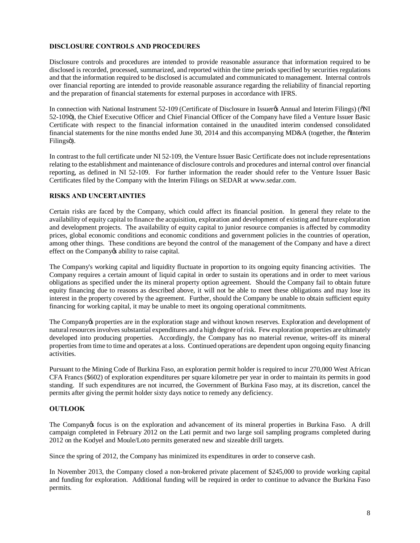# **DISCLOSURE CONTROLS AND PROCEDURES**

Disclosure controls and procedures are intended to provide reasonable assurance that information required to be disclosed is recorded, processed, summarized, and reported within the time periods specified by securities regulations and that the information required to be disclosed is accumulated and communicated to management. Internal controls over financial reporting are intended to provide reasonable assurance regarding the reliability of financial reporting and the preparation of financial statements for external purposes in accordance with IFRS.

In connection with National Instrument 52-109 (Certificate of Disclosure in Issuer & Annual and Interim Filings) ( $\delta$ NI 52-109<sub>0</sub>), the Chief Executive Officer and Chief Financial Officer of the Company have filed a Venture Issuer Basic Certificate with respect to the financial information contained in the unaudited interim condensed consolidated financial statements for the nine months ended June 30, 2014 and this accompanying MD&A (together, the  $\delta$ Interim Filingsö).

In contrast to the full certificate under NI 52-109, the Venture Issuer Basic Certificate does not include representations relating to the establishment and maintenance of disclosure controls and procedures and internal control over financial reporting, as defined in NI 52-109. For further information the reader should refer to the Venture Issuer Basic Certificates filed by the Company with the Interim Filings on SEDAR at www.sedar.com.

## **RISKS AND UNCERTAINTIES**

Certain risks are faced by the Company, which could affect its financial position. In general they relate to the availability of equity capital to finance the acquisition, exploration and development of existing and future exploration and development projects. The availability of equity capital to junior resource companies is affected by commodity prices, global economic conditions and economic conditions and government policies in the countries of operation, among other things. These conditions are beyond the control of the management of the Company and have a direct effect on the Company os ability to raise capital.

The Company's working capital and liquidity fluctuate in proportion to its ongoing equity financing activities. The Company requires a certain amount of liquid capital in order to sustain its operations and in order to meet various obligations as specified under the its mineral property option agreement. Should the Company fail to obtain future equity financing due to reasons as described above, it will not be able to meet these obligations and may lose its interest in the property covered by the agreement. Further, should the Company be unable to obtain sufficient equity financing for working capital, it may be unable to meet its ongoing operational commitments.

The Company to properties are in the exploration stage and without known reserves. Exploration and development of natural resources involves substantial expenditures and a high degree of risk. Few exploration properties are ultimately developed into producing properties. Accordingly, the Company has no material revenue, writes-off its mineral properties from time to time and operates at a loss. Continued operations are dependent upon ongoing equity financing activities.

Pursuant to the Mining Code of Burkina Faso, an exploration permit holder is required to incur 270,000 West African CFA Francs (\$602) of exploration expenditures per square kilometre per year in order to maintain its permits in good standing. If such expenditures are not incurred, the Government of Burkina Faso may, at its discretion, cancel the permits after giving the permit holder sixty days notice to remedy any deficiency.

# **OUTLOOK**

The Company is focus is on the exploration and advancement of its mineral properties in Burkina Faso. A drill campaign completed in February 2012 on the Lati permit and two large soil sampling programs completed during 2012 on the Kodyel and Moule/Loto permits generated new and sizeable drill targets.

Since the spring of 2012, the Company has minimized its expenditures in order to conserve cash.

In November 2013, the Company closed a non-brokered private placement of \$245,000 to provide working capital and funding for exploration. Additional funding will be required in order to continue to advance the Burkina Faso permits.